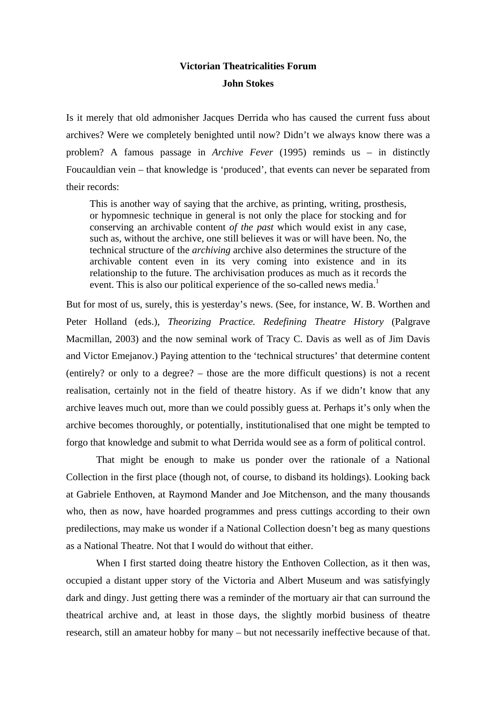# **Victorian Theatricalities Forum John Stokes**

Is it merely that old admonisher Jacques Derrida who has caused the current fuss about archives? Were we completely benighted until now? Didn't we always know there was a problem? A famous passage in *Archive Fever* (1995) reminds us – in distinctly Foucauldian vein – that knowledge is 'produced', that events can never be separated from their records:

This is another way of saying that the archive, as printing, writing, prosthesis, or hypomnesic technique in general is not only the place for stocking and for conserving an archivable content *of the past* which would exist in any case, such as, without the archive, one still believes it was or will have been. No, the technical structure of the *archiving* archive also determines the structure of the archivable content even in its very coming into existence and in its relationship to the future. The archivisation produces as much as it records the event. This is also our political experience of the so-called news media.<sup>1</sup>

But for most of us, surely, this is yesterday's news. (See, for instance, W. B. Worthen and Peter Holland (eds.), *Theorizing Practice. Redefining Theatre History* (Palgrave Macmillan, 2003) and the now seminal work of Tracy C. Davis as well as of Jim Davis and Victor Emejanov.) Paying attention to the 'technical structures' that determine content (entirely? or only to a degree? – those are the more difficult questions) is not a recent realisation, certainly not in the field of theatre history. As if we didn't know that any archive leaves much out, more than we could possibly guess at. Perhaps it's only when the archive becomes thoroughly, or potentially, institutionalised that one might be tempted to forgo that knowledge and submit to what Derrida would see as a form of political control.

That might be enough to make us ponder over the rationale of a National Collection in the first place (though not, of course, to disband its holdings). Looking back at Gabriele Enthoven, at Raymond Mander and Joe Mitchenson, and the many thousands who, then as now, have hoarded programmes and press cuttings according to their own predilections, may make us wonder if a National Collection doesn't beg as many questions as a National Theatre. Not that I would do without that either.

When I first started doing theatre history the Enthoven Collection, as it then was, occupied a distant upper story of the Victoria and Albert Museum and was satisfyingly dark and dingy. Just getting there was a reminder of the mortuary air that can surround the theatrical archive and, at least in those days, the slightly morbid business of theatre research, still an amateur hobby for many – but not necessarily ineffective because of that.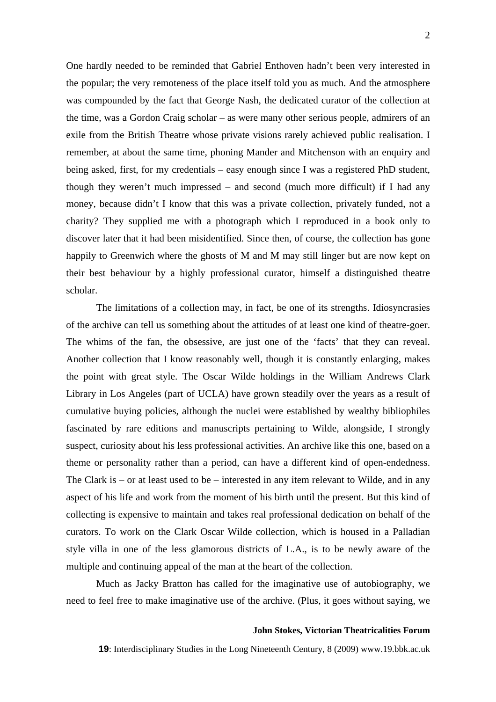One hardly needed to be reminded that Gabriel Enthoven hadn't been very interested in the popular; the very remoteness of the place itself told you as much. And the atmosphere was compounded by the fact that George Nash, the dedicated curator of the collection at the time, was a Gordon Craig scholar – as were many other serious people, admirers of an exile from the British Theatre whose private visions rarely achieved public realisation. I remember, at about the same time, phoning Mander and Mitchenson with an enquiry and being asked, first, for my credentials – easy enough since I was a registered PhD student, though they weren't much impressed – and second (much more difficult) if I had any money, because didn't I know that this was a private collection, privately funded, not a charity? They supplied me with a photograph which I reproduced in a book only to discover later that it had been misidentified. Since then, of course, the collection has gone happily to Greenwich where the ghosts of M and M may still linger but are now kept on their best behaviour by a highly professional curator, himself a distinguished theatre scholar.

The limitations of a collection may, in fact, be one of its strengths. Idiosyncrasies of the archive can tell us something about the attitudes of at least one kind of theatre-goer. The whims of the fan, the obsessive, are just one of the 'facts' that they can reveal. Another collection that I know reasonably well, though it is constantly enlarging, makes the point with great style. The Oscar Wilde holdings in the William Andrews Clark Library in Los Angeles (part of UCLA) have grown steadily over the years as a result of cumulative buying policies, although the nuclei were established by wealthy bibliophiles fascinated by rare editions and manuscripts pertaining to Wilde, alongside, I strongly suspect, curiosity about his less professional activities. An archive like this one, based on a theme or personality rather than a period, can have a different kind of open-endedness. The Clark is – or at least used to be – interested in any item relevant to Wilde, and in any aspect of his life and work from the moment of his birth until the present. But this kind of collecting is expensive to maintain and takes real professional dedication on behalf of the curators. To work on the Clark Oscar Wilde collection, which is housed in a Palladian style villa in one of the less glamorous districts of L.A., is to be newly aware of the multiple and continuing appeal of the man at the heart of the collection.

Much as Jacky Bratton has called for the imaginative use of autobiography, we need to feel free to make imaginative use of the archive. (Plus, it goes without saying, we

## **John Stokes, Victorian Theatricalities Forum**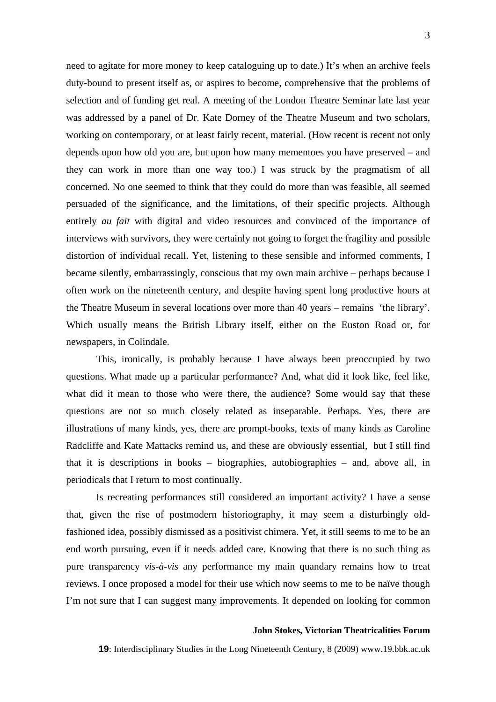need to agitate for more money to keep cataloguing up to date.) It's when an archive feels duty-bound to present itself as, or aspires to become, comprehensive that the problems of selection and of funding get real. A meeting of the London Theatre Seminar late last year was addressed by a panel of Dr. Kate Dorney of the Theatre Museum and two scholars, working on contemporary, or at least fairly recent, material. (How recent is recent not only depends upon how old you are, but upon how many mementoes you have preserved – and they can work in more than one way too.) I was struck by the pragmatism of all concerned. No one seemed to think that they could do more than was feasible, all seemed persuaded of the significance, and the limitations, of their specific projects. Although entirely *au fait* with digital and video resources and convinced of the importance of interviews with survivors, they were certainly not going to forget the fragility and possible distortion of individual recall. Yet, listening to these sensible and informed comments, I became silently, embarrassingly, conscious that my own main archive – perhaps because I often work on the nineteenth century, and despite having spent long productive hours at the Theatre Museum in several locations over more than 40 years – remains 'the library'. Which usually means the British Library itself, either on the Euston Road or, for newspapers, in Colindale.

This, ironically, is probably because I have always been preoccupied by two questions. What made up a particular performance? And, what did it look like, feel like, what did it mean to those who were there, the audience? Some would say that these questions are not so much closely related as inseparable. Perhaps. Yes, there are illustrations of many kinds, yes, there are prompt-books, texts of many kinds as Caroline Radcliffe and Kate Mattacks remind us, and these are obviously essential, but I still find that it is descriptions in books – biographies, autobiographies – and, above all, in periodicals that I return to most continually.

Is recreating performances still considered an important activity? I have a sense that, given the rise of postmodern historiography, it may seem a disturbingly oldfashioned idea, possibly dismissed as a positivist chimera. Yet, it still seems to me to be an end worth pursuing, even if it needs added care. Knowing that there is no such thing as pure transparency *vis-à-vis* any performance my main quandary remains how to treat reviews. I once proposed a model for their use which now seems to me to be naïve though I'm not sure that I can suggest many improvements. It depended on looking for common

#### **John Stokes, Victorian Theatricalities Forum**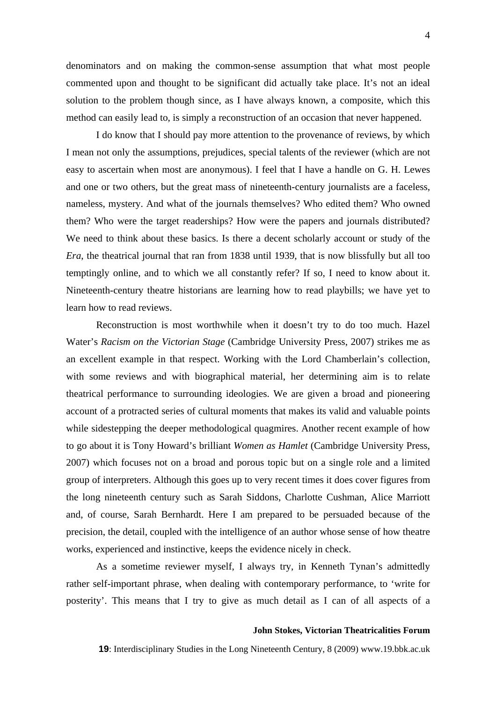denominators and on making the common-sense assumption that what most people commented upon and thought to be significant did actually take place. It's not an ideal solution to the problem though since, as I have always known, a composite, which this method can easily lead to, is simply a reconstruction of an occasion that never happened.

I do know that I should pay more attention to the provenance of reviews, by which I mean not only the assumptions, prejudices, special talents of the reviewer (which are not easy to ascertain when most are anonymous). I feel that I have a handle on G. H. Lewes and one or two others, but the great mass of nineteenth-century journalists are a faceless, nameless, mystery. And what of the journals themselves? Who edited them? Who owned them? Who were the target readerships? How were the papers and journals distributed? We need to think about these basics. Is there a decent scholarly account or study of the *Era*, the theatrical journal that ran from 1838 until 1939, that is now blissfully but all too temptingly online, and to which we all constantly refer? If so, I need to know about it. Nineteenth-century theatre historians are learning how to read playbills; we have yet to learn how to read reviews.

Reconstruction is most worthwhile when it doesn't try to do too much. Hazel Water's *Racism on the Victorian Stage* (Cambridge University Press, 2007) strikes me as an excellent example in that respect. Working with the Lord Chamberlain's collection, with some reviews and with biographical material, her determining aim is to relate theatrical performance to surrounding ideologies. We are given a broad and pioneering account of a protracted series of cultural moments that makes its valid and valuable points while sidestepping the deeper methodological quagmires. Another recent example of how to go about it is Tony Howard's brilliant *Women as Hamlet* (Cambridge University Press, 2007) which focuses not on a broad and porous topic but on a single role and a limited group of interpreters. Although this goes up to very recent times it does cover figures from the long nineteenth century such as Sarah Siddons, Charlotte Cushman, Alice Marriott and, of course, Sarah Bernhardt. Here I am prepared to be persuaded because of the precision, the detail, coupled with the intelligence of an author whose sense of how theatre works, experienced and instinctive, keeps the evidence nicely in check.

As a sometime reviewer myself, I always try, in Kenneth Tynan's admittedly rather self-important phrase, when dealing with contemporary performance, to 'write for posterity'. This means that I try to give as much detail as I can of all aspects of a

### **John Stokes, Victorian Theatricalities Forum**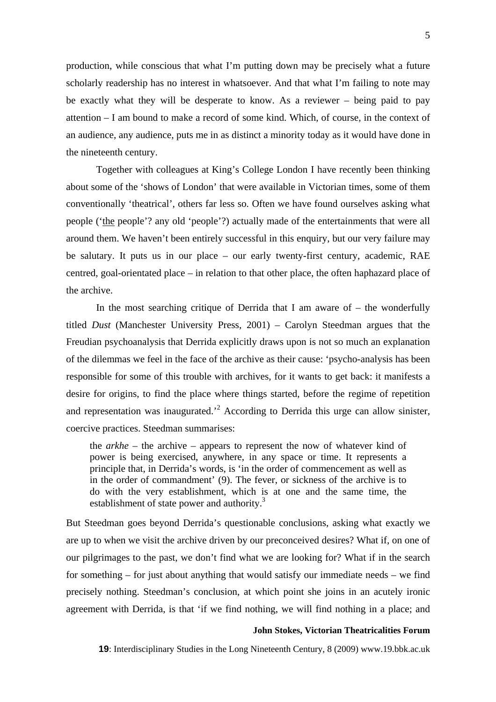production, while conscious that what I'm putting down may be precisely what a future scholarly readership has no interest in whatsoever. And that what I'm failing to note may be exactly what they will be desperate to know. As a reviewer – being paid to pay attention – I am bound to make a record of some kind. Which, of course, in the context of an audience, any audience, puts me in as distinct a minority today as it would have done in the nineteenth century.

Together with colleagues at King's College London I have recently been thinking about some of the 'shows of London' that were available in Victorian times, some of them conventionally 'theatrical', others far less so. Often we have found ourselves asking what people ('the people'? any old 'people'?) actually made of the entertainments that were all around them. We haven't been entirely successful in this enquiry, but our very failure may be salutary. It puts us in our place – our early twenty-first century, academic, RAE centred, goal-orientated place – in relation to that other place, the often haphazard place of the archive.

In the most searching critique of Derrida that I am aware of  $-$  the wonderfully titled *Dust* (Manchester University Press, 2001) – Carolyn Steedman argues that the Freudian psychoanalysis that Derrida explicitly draws upon is not so much an explanation of the dilemmas we feel in the face of the archive as their cause: 'psycho-analysis has been responsible for some of this trouble with archives, for it wants to get back: it manifests a desire for origins, to find the place where things started, before the regime of repetition and representation was inaugurated.<sup>2</sup> According to Derrida this urge can allow sinister, coercive practices. Steedman summarises:

the *arkhe* – the archive – appears to represent the now of whatever kind of power is being exercised, anywhere, in any space or time. It represents a principle that, in Derrida's words, is 'in the order of commencement as well as in the order of commandment' (9). The fever, or sickness of the archive is to do with the very establishment, which is at one and the same time, the establishment of state power and authority.<sup>3</sup>

But Steedman goes beyond Derrida's questionable conclusions, asking what exactly we are up to when we visit the archive driven by our preconceived desires? What if, on one of our pilgrimages to the past, we don't find what we are looking for? What if in the search for something – for just about anything that would satisfy our immediate needs – we find precisely nothing. Steedman's conclusion, at which point she joins in an acutely ironic agreement with Derrida, is that 'if we find nothing, we will find nothing in a place; and

## **John Stokes, Victorian Theatricalities Forum**